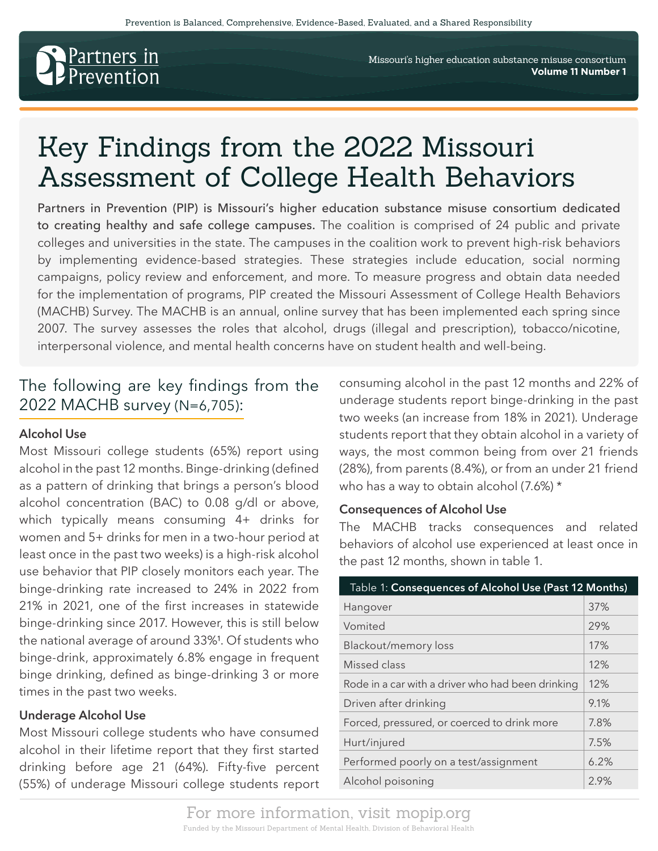

Missouri's higher education substance misuse consortium **Volume 11 Number 1**

# Key Findings from the 2022 Missouri Assessment of College Health Behaviors

Partners in Prevention (PIP) is Missouri's higher education substance misuse consortium dedicated to creating healthy and safe college campuses. The coalition is comprised of 24 public and private colleges and universities in the state. The campuses in the coalition work to prevent high-risk behaviors by implementing evidence-based strategies. These strategies include education, social norming campaigns, policy review and enforcement, and more. To measure progress and obtain data needed for the implementation of programs, PIP created the Missouri Assessment of College Health Behaviors (MACHB) Survey. The MACHB is an annual, online survey that has been implemented each spring since 2007. The survey assesses the roles that alcohol, drugs (illegal and prescription), tobacco/nicotine, interpersonal violence, and mental health concerns have on student health and well-being.

# The following are key findings from the 2022 MACHB survey (N=6,705):

#### **Alcohol Use**

Most Missouri college students (65%) report using alcohol in the past 12 months. Binge-drinking (defined as a pattern of drinking that brings a person's blood alcohol concentration (BAC) to 0.08 g/dl or above, which typically means consuming 4+ drinks for women and 5+ drinks for men in a two-hour period at least once in the past two weeks) is a high-risk alcohol use behavior that PIP closely monitors each year. The binge-drinking rate increased to 24% in 2022 from 21% in 2021, one of the first increases in statewide binge-drinking since 2017. However, this is still below the national average of around 33%<sup>1</sup>. Of students who binge-drink, approximately 6.8% engage in frequent binge drinking, defined as binge-drinking 3 or more times in the past two weeks.

#### **Underage Alcohol Use**

Most Missouri college students who have consumed alcohol in their lifetime report that they first started drinking before age 21 (64%). Fifty-five percent (55%) of underage Missouri college students report

consuming alcohol in the past 12 months and 22% of underage students report binge-drinking in the past two weeks (an increase from 18% in 2021). Underage students report that they obtain alcohol in a variety of ways, the most common being from over 21 friends (28%), from parents (8.4%), or from an under 21 friend who has a way to obtain alcohol (7.6%) \*

#### **Consequences of Alcohol Use**

The MACHB tracks consequences and related behaviors of alcohol use experienced at least once in the past 12 months, shown in table 1.

| Table 1: Consequences of Alcohol Use (Past 12 Months) |      |  |
|-------------------------------------------------------|------|--|
| Hangover                                              | 37%  |  |
| Vomited                                               | 29%  |  |
| Blackout/memory loss                                  | 17%  |  |
| Missed class                                          | 12%  |  |
| Rode in a car with a driver who had been drinking     | 12%  |  |
| Driven after drinking                                 | 9.1% |  |
| Forced, pressured, or coerced to drink more           | 7.8% |  |
| Hurt/injured                                          | 7.5% |  |
| Performed poorly on a test/assignment                 | 6.2% |  |
| Alcohol poisoning                                     | 2.9% |  |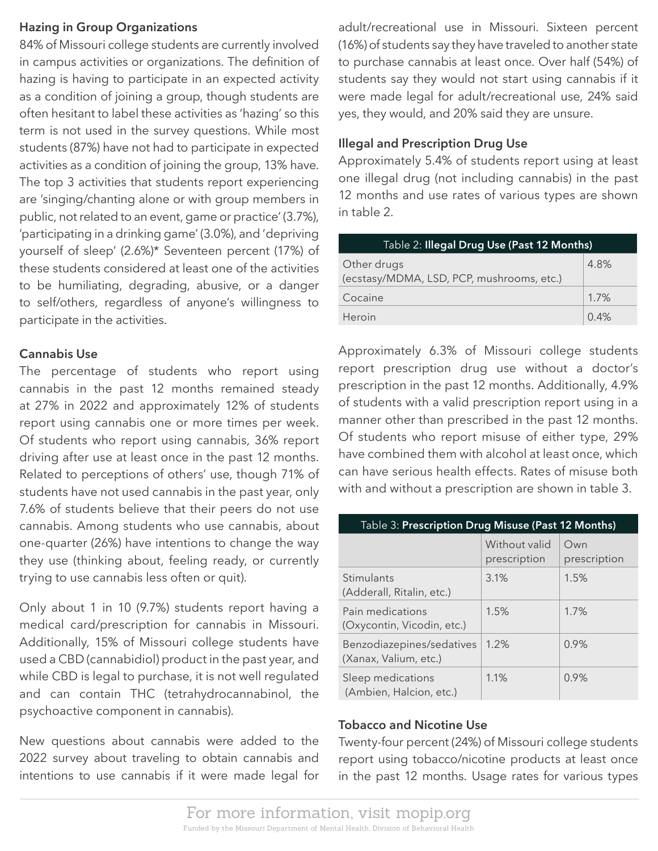#### **Hazing in Group Organizations**

84% of Missouri college students are currently involved in campus activities or organizations. The definition of hazing is having to participate in an expected activity as a condition of joining a group, though students are often hesitant to label these activities as 'hazing' so this term is not used in the survey questions. While most students (87%) have not had to participate in expected activities as a condition of joining the group, 13% have. The top 3 activities that students report experiencing are 'singing/chanting alone or with group members in public, not related to an event, game or practice' (3.7%), 'participating in a drinking game' (3.0%), and 'depriving yourself of sleep' (2.6%)\* Seventeen percent (17%) of these students considered at least one of the activities to be humiliating, degrading, abusive, or a danger to self/others, regardless of anyone's willingness to participate in the activities.

## **Cannabis Use**

The percentage of students who report using cannabis in the past 12 months remained steady at 27% in 2022 and approximately 12% of students report using cannabis one or more times per week. Of students who report using cannabis, 36% report driving after use at least once in the past 12 months. Related to perceptions of others' use, though 71% of students have not used cannabis in the past year, only 7.6% of students believe that their peers do not use cannabis. Among students who use cannabis, about one-quarter (26%) have intentions to change the way they use (thinking about, feeling ready, or currently trying to use cannabis less often or quit).

Only about 1 in 10 (9.7%) students report having a medical card/prescription for cannabis in Missouri. Additionally, 15% of Missouri college students have used a CBD (cannabidiol) product in the past year, and while CBD is legal to purchase, it is not well regulated and can contain THC (tetrahydrocannabinol, the psychoactive component in cannabis).

New questions about cannabis were added to the 2022 survey about traveling to obtain cannabis and intentions to use cannabis if it were made legal for

adult/recreational use in Missouri. Sixteen percent (16%) of students say they have traveled to another state to purchase cannabis at least once. Over half (54%) of students say they would not start using cannabis if it were made legal for adult/recreational use, 24% said yes, they would, and 20% said they are unsure.

#### **Illegal and Prescription Drug Use**

Approximately 5.4% of students report using at least one illegal drug (not including cannabis) in the past 12 months and use rates of various types are shown in table 2.

| Table 2: Illegal Drug Use (Past 12 Months)               |      |  |
|----------------------------------------------------------|------|--|
| Other drugs<br>(ecstasy/MDMA, LSD, PCP, mushrooms, etc.) | 4.8% |  |
| Cocaine                                                  | 1.7% |  |
| Heroin                                                   | 0.4% |  |

Approximately 6.3% of Missouri college students report prescription drug use without a doctor's prescription in the past 12 months. Additionally, 4.9% of students with a valid prescription report using in a manner other than prescribed in the past 12 months. Of students who report misuse of either type, 29% have combined them with alcohol at least once, which can have serious health effects. Rates of misuse both with and without a prescription are shown in table 3.

| Table 3: Prescription Drug Misuse (Past 12 Months) |                               |                     |  |
|----------------------------------------------------|-------------------------------|---------------------|--|
|                                                    | Without valid<br>prescription | Own<br>prescription |  |
| Stimulants<br>(Adderall, Ritalin, etc.)            | 3.1%                          | 1.5%                |  |
| Pain medications<br>(Oxycontin, Vicodin, etc.)     | 1.5%                          | 1.7%                |  |
| Benzodiazepines/sedatives<br>(Xanax, Valium, etc.) | 1.2%                          | 0.9%                |  |
| Sleep medications<br>(Ambien, Halcion, etc.)       | 1.1%                          | 0.9%                |  |

#### **Tobacco and Nicotine Use**

Twenty-four percent (24%) of Missouri college students report using tobacco/nicotine products at least once in the past 12 months. Usage rates for various types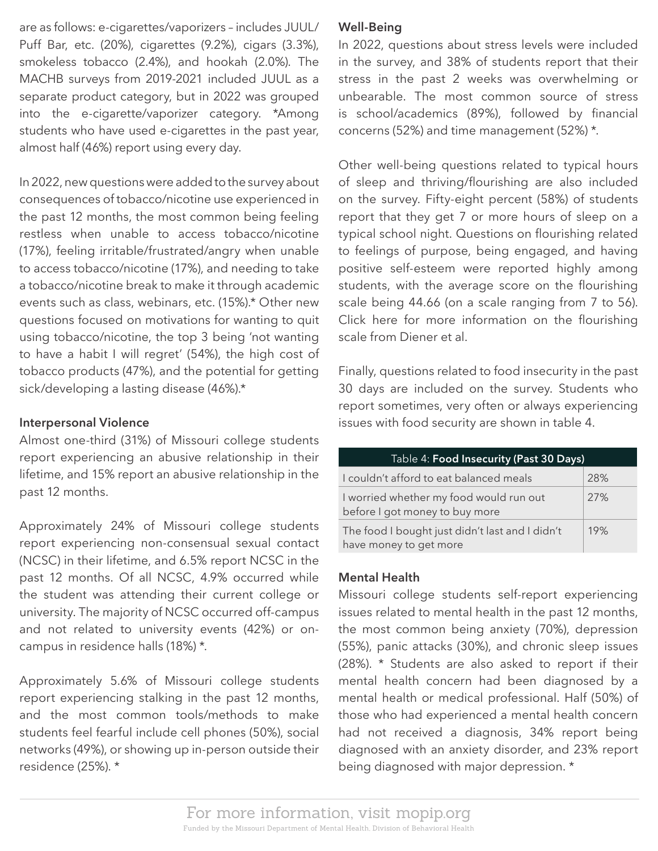are as follows: e-cigarettes/vaporizers – includes JUUL/ Puff Bar, etc. (20%), cigarettes (9.2%), cigars (3.3%), smokeless tobacco (2.4%), and hookah (2.0%). The MACHB surveys from 2019-2021 included JUUL as a separate product category, but in 2022 was grouped into the e-cigarette/vaporizer category. \*Among students who have used e-cigarettes in the past year, almost half (46%) report using every day.

In 2022, new questions were added to the survey about consequences of tobacco/nicotine use experienced in the past 12 months, the most common being feeling restless when unable to access tobacco/nicotine (17%), feeling irritable/frustrated/angry when unable to access tobacco/nicotine (17%), and needing to take a tobacco/nicotine break to make it through academic events such as class, webinars, etc. (15%).\* Other new questions focused on motivations for wanting to quit using tobacco/nicotine, the top 3 being 'not wanting to have a habit I will regret' (54%), the high cost of tobacco products (47%), and the potential for getting sick/developing a lasting disease (46%).\*

## **Interpersonal Violence**

Almost one-third (31%) of Missouri college students report experiencing an abusive relationship in their lifetime, and 15% report an abusive relationship in the past 12 months.

Approximately 24% of Missouri college students report experiencing non-consensual sexual contact (NCSC) in their lifetime, and 6.5% report NCSC in the past 12 months. Of all NCSC, 4.9% occurred while the student was attending their current college or university. The majority of NCSC occurred off-campus and not related to university events (42%) or oncampus in residence halls (18%) \*.

Approximately 5.6% of Missouri college students report experiencing stalking in the past 12 months, and the most common tools/methods to make students feel fearful include cell phones (50%), social networks (49%), or showing up in-person outside their residence (25%). \*

#### **Well-Being**

In 2022, questions about stress levels were included in the survey, and 38% of students report that their stress in the past 2 weeks was overwhelming or unbearable. The most common source of stress is school/academics (89%), followed by financial concerns (52%) and time management (52%) \*.

Other well-being questions related to typical hours of sleep and thriving/flourishing are also included on the survey. Fifty-eight percent (58%) of students report that they get 7 or more hours of sleep on a typical school night. Questions on flourishing related to feelings of purpose, being engaged, and having positive self-esteem were reported highly among students, with the average score on the flourishing scale being 44.66 (on a scale ranging from 7 to 56). Click here for more information on the flourishing scale from Diener et al.

Finally, questions related to food insecurity in the past 30 days are included on the survey. Students who report sometimes, very often or always experiencing issues with food security are shown in table 4.

| Table 4: Food Insecurity (Past 30 Days)                                   |     |  |
|---------------------------------------------------------------------------|-----|--|
| I couldn't afford to eat balanced meals                                   | 28% |  |
| I worried whether my food would run out<br>before I got money to buy more | 27% |  |
| The food I bought just didn't last and I didn't<br>have money to get more | 19% |  |

#### **Mental Health**

Missouri college students self-report experiencing issues related to mental health in the past 12 months, the most common being anxiety (70%), depression (55%), panic attacks (30%), and chronic sleep issues (28%). \* Students are also asked to report if their mental health concern had been diagnosed by a mental health or medical professional. Half (50%) of those who had experienced a mental health concern had not received a diagnosis, 34% report being diagnosed with an anxiety disorder, and 23% report being diagnosed with major depression. \*